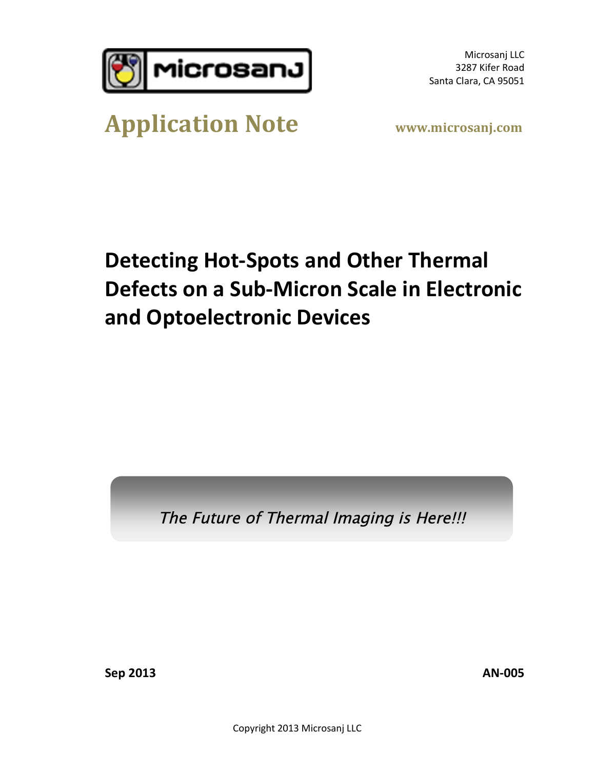

Microsanj LLC 3287 Kifer Road Santa Clara, CA 95051

# **Application Note www.microsanj.com**

# **Detecting Hot-Spots and Other Thermal Defects on a Sub-Micron Scale in Electronic and Optoelectronic Devices**

The Future of Thermal Imaging is Here!!!

**Sep 2013 AN-005**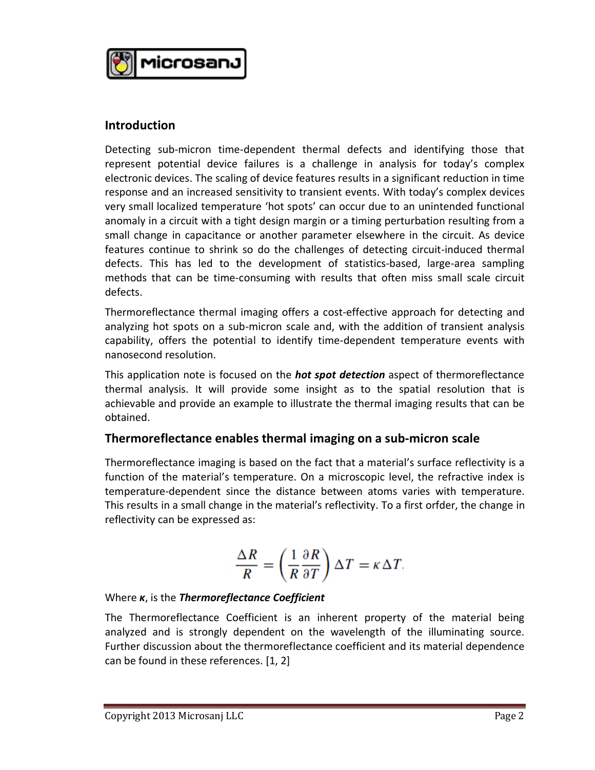

#### **Introduction**

Detecting sub-micron time-dependent thermal defects and identifying those that represent potential device failures is a challenge in analysis for today's complex electronic devices. The scaling of device features results in a significant reduction in time response and an increased sensitivity to transient events. With today's complex devices<br>very small localized temperature 'hot spots' can occur due to an unintended functional<br>anomaly in a circuit with a tight design margin very small localized temperature 'hot spots' can occur due to an unintended functional very small localized temperature 'hot spots' can occur due to an unintended functional<br>anomaly in a circuit with a tight design margin or a timing perturbation resulting from a<br>small change in capacitance or another parame anomaly in a circuit with a tight design margin or a timing perturbation resulting from a<br>small change in capacitance or another parameter elsewhere in the circuit. As device<br>features continue to shrink so do the challenge small change in capacitance or another parameter elsewhere in the circuit. As device<br>features continue to shrink so do the challenges of detecting circuit-induced thermal<br>defects. This has led to the development of statist features continue to shrink so do the challenges of detecting circuit-induced thermal<br>defects. This has led to the development of statistics-based, large-area sampling<br>methods that can be time-consuming with results that o defects.

Thermoreflectance thermal imaging offers a cost-effective approach for detecting and analyzing hot spots on a sub-micron scale and, with the addition of transient analysis capability, offers the potential to identify time-dependent temperature events with nanosecond resolution.

This application note is focused on the *hot spot detection* aspect of thermoreflectance thermal analysis. It will provide some insight as to the spatial resolution that is achievable and provide an example to illustrate the thermal imaging results that can be obtained.

### **Thermoreflectance enables thermal imaging on a sub-micron scale**

Thermoreflectance imaging is based on the fact that a material's surface reflectivity is a function of the material's temperature. On a microscopic level, the refractive index is temperature-dependent since the distance between atoms varies with temperature. function of the material's temperature. On a microscopic level, the refractive index is<br>temperature-dependent since the distance between atoms varies with temperature.<br>This results in a small change in the material's refle temperature-dependent since th<br>This results in a small change in th<br>reflectivity can be expressed as:

$$
\frac{\Delta R}{R} = \left(\frac{1}{R}\frac{\partial R}{\partial T}\right)\Delta T = \kappa \Delta T,
$$

### Where *κ*, is the *Thermoreflectance Coefficient*

The Thermoreflectance Coefficient is an inherent property of the material being analyzed and is strongly dependent on the wavelength of the illuminating source. Further discussion about the thermoreflectance coefficient and its material dependence analyzed and is strongly dependent<br>Further discussion about the thermore<br>can be found in these references. [1, 2]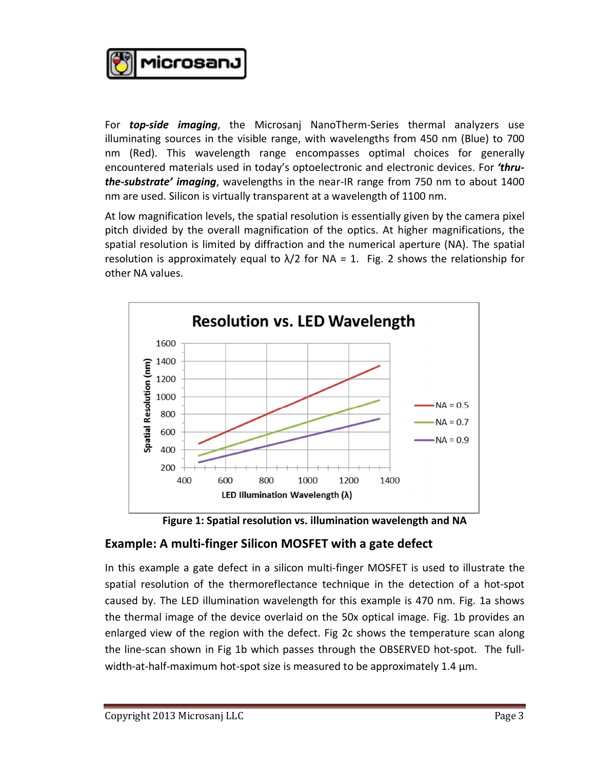**Microsan**j

For *top-side imaging*, the Microsanj NanoTherm-Series thermal analyzers use For **top-side imaging**, the Microsanj NanoTherm-Series thermal analyzers use<br>illuminating sources in the visible range, with wavelengths from 450 nm (Blue) to 700 For **top-side imaging**, the Microsanj NanoTherm-Series thermal analyzers use illuminating sources in the visible range, with wavelengths from 450 nm (Blue) to 700 nm (Red). This wavelength range encompasses optimal choices encountered materials used in today's optoelectronic and electronic devices. For *'thruthe-substrate' imaging*, wavelengths in the near-IR range from 750 nm to about 1400 encountered materials used in today's optoelectronic and electronic devi<br>**the-substrate' imaging**, wavelengths in the near-IR range from 750 nm<br>nm are used. Silicon is virtually transparent at a wavelength of 1100 nm. nm are used. Silicon is virtually transparent at a wavelength of 1100 nm.<br>At low magnification levels, the spatial resolution is essentially given by the camera pixel

pitch divided by the overall magnification of the optics. At higher magnifications, the spatial resolution is limited by diffraction and the numerical aperture (NA). The spatial resolution is approximately equal to  $\lambda/2$  for NA = 1. Fig. 2 shows the relationship for other NA values.



## **Example: A multi-finger Silicon MOSFET with a gate defect**

In this example a gate defect in a silicon multi-finger MOSFET is used to illustrate the spatial resolution of the thermoreflectance technique in the detection of a hot-spot in this example a gate defect in a silicon multi-finger MOSFET is used to illustrate the<br>spatial resolution of the thermoreflectance technique in the detection of a hot-spot<br>caused by. The LED illumination wavelength for t the thermal image of the device overlaid on the 50x optical image. Fig. 1b provides an enlarged view of the region with the defect. Fig 2c shows the temperature scan along the line-scan shown in Fig 1b which passes through the OBSERVED hot-spot. The fullenlarged view of the region with the defect. Fig 2c shows the temperature so<br>the line-scan shown in Fig 1b which passes through the OBSERVED hot-spot.<br>width-at-half-maximum hot-spot size is measured to be approximately 1.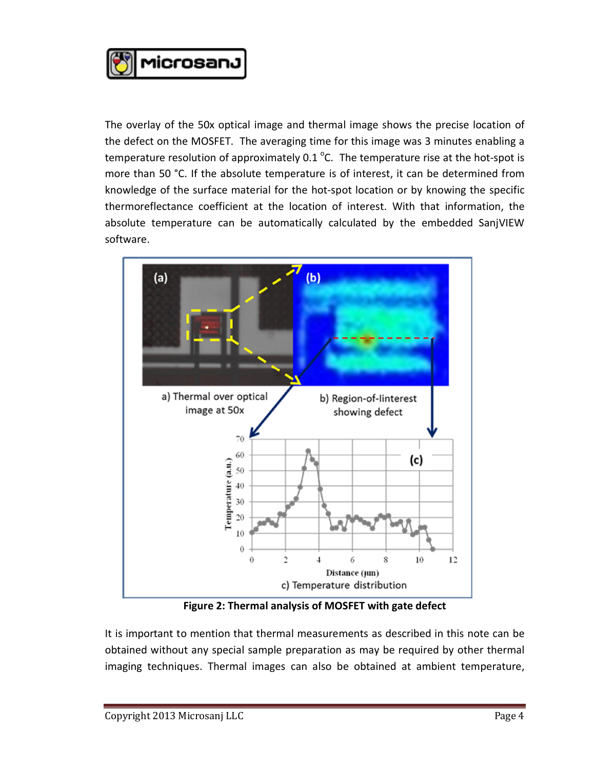

The overlay of the 50x optical image and thermal image shows the precise location of The overlay of the 50x optical image and thermal image shows the precise location of<br>the defect on the MOSFET. The averaging time for this image was 3 minutes enabling a the defect on the MOSFET. The averaging time for this image was 3 minutes enabling a temperature resolution of approximately  $0.1 \degree$ C. The temperature rise at the hot-spot is more than 50 °C. If the absolute temperature is of interest, it can be determined from temperature resolution of approximately 0.1 °C. The temperature rise at the hot-spot is<br>more than 50 °C. If the absolute temperature is of interest, it can be determined from<br>knowledge of the surface material for the hot-s knowledge of the surface material for the hot-spot location or by knowing the specific<br>thermoreflectance coefficient at the location of interest. With that information, the<br>absolute temperature can be automatically calcula thermoreflectance coefficient at the location of interest. With that information, the software.



It is important to mention that thermal measurements as described in this note can be obtained without any special sample preparation as may be required by other thermal imaging techniques. Thermal images can also be obtained at ambient temperature,